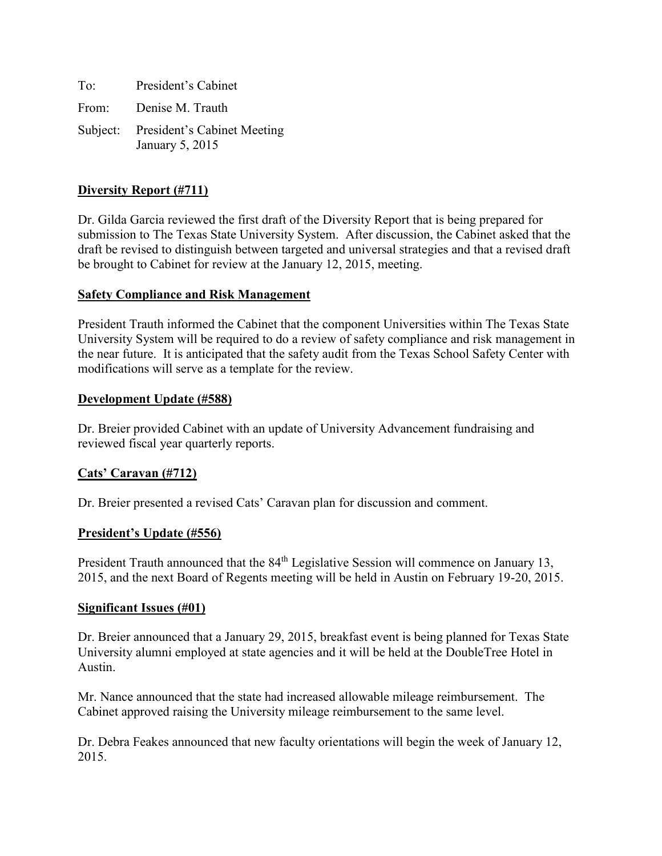To: President's Cabinet From: Denise M. Trauth Subject: President's Cabinet Meeting January 5, 2015

### **Diversity Report (#711)**

Dr. Gilda Garcia reviewed the first draft of the Diversity Report that is being prepared for submission to The Texas State University System. After discussion, the Cabinet asked that the draft be revised to distinguish between targeted and universal strategies and that a revised draft be brought to Cabinet for review at the January 12, 2015, meeting.

### **Safety Compliance and Risk Management**

President Trauth informed the Cabinet that the component Universities within The Texas State University System will be required to do a review of safety compliance and risk management in the near future. It is anticipated that the safety audit from the Texas School Safety Center with modifications will serve as a template for the review.

#### **Development Update (#588)**

Dr. Breier provided Cabinet with an update of University Advancement fundraising and reviewed fiscal year quarterly reports.

### **Cats' Caravan (#712)**

Dr. Breier presented a revised Cats' Caravan plan for discussion and comment.

### **President's Update (#556)**

President Trauth announced that the 84<sup>th</sup> Legislative Session will commence on January 13, 2015, and the next Board of Regents meeting will be held in Austin on February 19-20, 2015.

#### **Significant Issues (#01)**

Dr. Breier announced that a January 29, 2015, breakfast event is being planned for Texas State University alumni employed at state agencies and it will be held at the DoubleTree Hotel in Austin.

Mr. Nance announced that the state had increased allowable mileage reimbursement. The Cabinet approved raising the University mileage reimbursement to the same level.

Dr. Debra Feakes announced that new faculty orientations will begin the week of January 12, 2015.